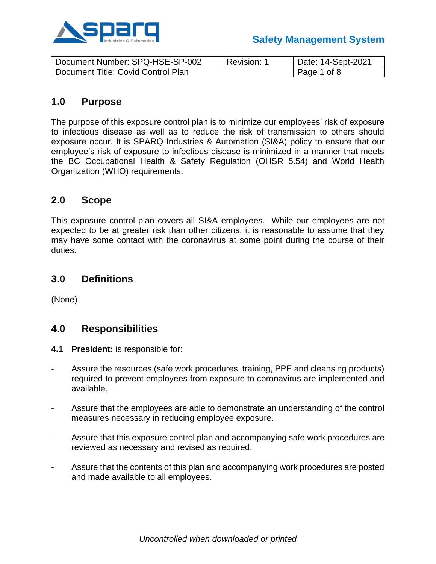

| Document Number: SPQ-HSE-SP-002    | Revision: | Date: 14-Sept-2021 |
|------------------------------------|-----------|--------------------|
| Document Title: Covid Control Plan |           | Page 1 of 8        |

# **1.0 Purpose**

The purpose of this exposure control plan is to minimize our employees' risk of exposure to infectious disease as well as to reduce the risk of transmission to others should exposure occur. It is SPARQ Industries & Automation (SI&A) policy to ensure that our employee's risk of exposure to infectious disease is minimized in a manner that meets the BC Occupational Health & Safety Regulation (OHSR 5.54) and World Health Organization (WHO) requirements.

### **2.0 Scope**

This exposure control plan covers all SI&A employees. While our employees are not expected to be at greater risk than other citizens, it is reasonable to assume that they may have some contact with the coronavirus at some point during the course of their duties.

# **3.0 Definitions**

(None)

# **4.0 Responsibilities**

- **4.1 President:** is responsible for:
- Assure the resources (safe work procedures, training, PPE and cleansing products) required to prevent employees from exposure to coronavirus are implemented and available.
- Assure that the employees are able to demonstrate an understanding of the control measures necessary in reducing employee exposure.
- Assure that this exposure control plan and accompanying safe work procedures are reviewed as necessary and revised as required.
- Assure that the contents of this plan and accompanying work procedures are posted and made available to all employees.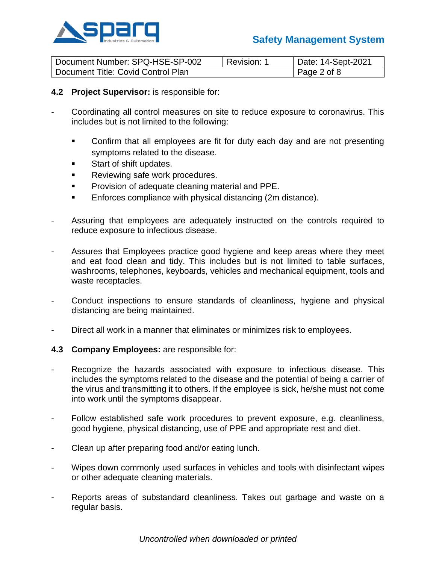

# **Safety Management System**

| Document Number: SPQ-HSE-SP-002    | Revision: | Date: 14-Sept-2021 |
|------------------------------------|-----------|--------------------|
| Document Title: Covid Control Plan |           | Page 2 of 8        |

#### **4.2 Project Supervisor:** is responsible for:

- Coordinating all control measures on site to reduce exposure to coronavirus. This includes but is not limited to the following:
	- Confirm that all employees are fit for duty each day and are not presenting symptoms related to the disease.
	- Start of shift updates.
	- Reviewing safe work procedures.
	- Provision of adequate cleaning material and PPE.
	- Enforces compliance with physical distancing (2m distance).
- Assuring that employees are adequately instructed on the controls required to reduce exposure to infectious disease.
- Assures that Employees practice good hygiene and keep areas where they meet and eat food clean and tidy. This includes but is not limited to table surfaces, washrooms, telephones, keyboards, vehicles and mechanical equipment, tools and waste receptacles.
- Conduct inspections to ensure standards of cleanliness, hygiene and physical distancing are being maintained.
- Direct all work in a manner that eliminates or minimizes risk to employees.

#### **4.3 Company Employees:** are responsible for:

- Recognize the hazards associated with exposure to infectious disease. This includes the symptoms related to the disease and the potential of being a carrier of the virus and transmitting it to others. If the employee is sick, he/she must not come into work until the symptoms disappear.
- Follow established safe work procedures to prevent exposure, e.g. cleanliness, good hygiene, physical distancing, use of PPE and appropriate rest and diet.
- Clean up after preparing food and/or eating lunch.
- Wipes down commonly used surfaces in vehicles and tools with disinfectant wipes or other adequate cleaning materials.
- Reports areas of substandard cleanliness. Takes out garbage and waste on a regular basis.

*Uncontrolled when downloaded or printed*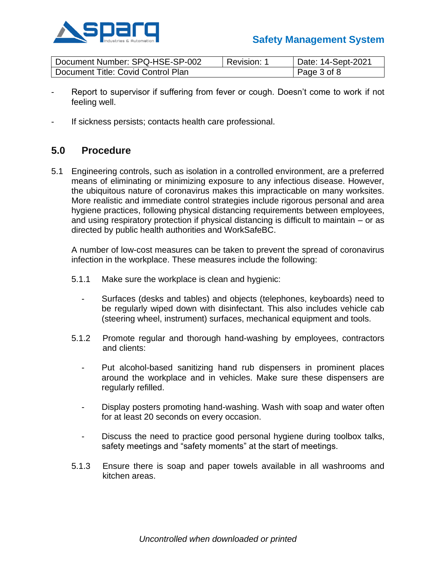

## **Safety Management System**

| Document Number: SPQ-HSE-SP-002    | Revision: | Date: 14-Sept-2021 |
|------------------------------------|-----------|--------------------|
| Document Title: Covid Control Plan |           | Page 3 of 8        |

- Report to supervisor if suffering from fever or cough. Doesn't come to work if not feeling well.
- If sickness persists; contacts health care professional.

### **5.0 Procedure**

5.1 Engineering controls, such as isolation in a controlled environment, are a preferred means of eliminating or minimizing exposure to any infectious disease. However, the ubiquitous nature of coronavirus makes this impracticable on many worksites. More realistic and immediate control strategies include rigorous personal and area hygiene practices, following physical distancing requirements between employees, and using respiratory protection if physical distancing is difficult to maintain – or as directed by public health authorities and WorkSafeBC.

A number of low-cost measures can be taken to prevent the spread of coronavirus infection in the workplace. These measures include the following:

- 5.1.1 Make sure the workplace is clean and hygienic:
	- Surfaces (desks and tables) and objects (telephones, keyboards) need to be regularly wiped down with disinfectant. This also includes vehicle cab (steering wheel, instrument) surfaces, mechanical equipment and tools.
- 5.1.2 Promote regular and thorough hand-washing by employees, contractors and clients:
	- Put alcohol-based sanitizing hand rub dispensers in prominent places around the workplace and in vehicles. Make sure these dispensers are regularly refilled.
	- Display posters promoting hand-washing. Wash with soap and water often for at least 20 seconds on every occasion.
	- Discuss the need to practice good personal hygiene during toolbox talks, safety meetings and "safety moments" at the start of meetings.
- 5.1.3 Ensure there is soap and paper towels available in all washrooms and kitchen areas.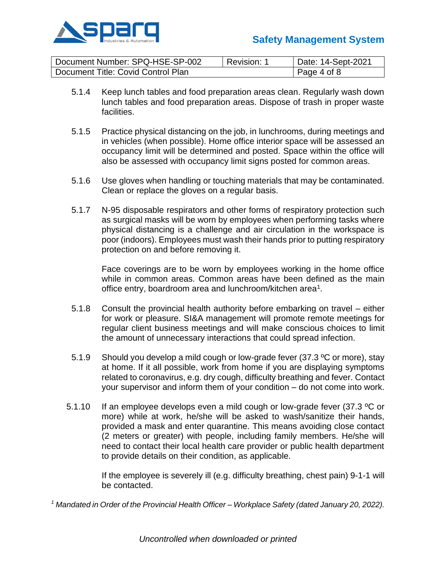

| Document Number: SPQ-HSE-SP-002    | Revision: 1 | Date: 14-Sept-2021 |
|------------------------------------|-------------|--------------------|
| Document Title: Covid Control Plan |             | Page 4 of 8        |

- 5.1.4 Keep lunch tables and food preparation areas clean. Regularly wash down lunch tables and food preparation areas. Dispose of trash in proper waste facilities.
- 5.1.5 Practice physical distancing on the job, in lunchrooms, during meetings and in vehicles (when possible). Home office interior space will be assessed an occupancy limit will be determined and posted. Space within the office will also be assessed with occupancy limit signs posted for common areas.
- 5.1.6 Use gloves when handling or touching materials that may be contaminated. Clean or replace the gloves on a regular basis.
- 5.1.7 N-95 disposable respirators and other forms of respiratory protection such as surgical masks will be worn by employees when performing tasks where physical distancing is a challenge and air circulation in the workspace is poor (indoors). Employees must wash their hands prior to putting respiratory protection on and before removing it.

Face coverings are to be worn by employees working in the home office while in common areas. Common areas have been defined as the main office entry, boardroom area and lunchroom/kitchen area<sup>1</sup>.

- 5.1.8 Consult the provincial health authority before embarking on travel either for work or pleasure. SI&A management will promote remote meetings for regular client business meetings and will make conscious choices to limit the amount of unnecessary interactions that could spread infection.
- 5.1.9 Should you develop a mild cough or low-grade fever (37.3 °C or more), stay at home. If it all possible, work from home if you are displaying symptoms related to coronavirus, e.g. dry cough, difficulty breathing and fever. Contact your supervisor and inform them of your condition – do not come into work.
- 5.1.10 If an employee develops even a mild cough or low-grade fever (37.3 °C or more) while at work, he/she will be asked to wash/sanitize their hands, provided a mask and enter quarantine. This means avoiding close contact (2 meters or greater) with people, including family members. He/she will need to contact their local health care provider or public health department to provide details on their condition, as applicable.

If the employee is severely ill (e.g. difficulty breathing, chest pain) 9-1-1 will be contacted.

*<sup>1</sup> Mandated in Order of the Provincial Health Officer – Workplace Safety (dated January 20, 2022).*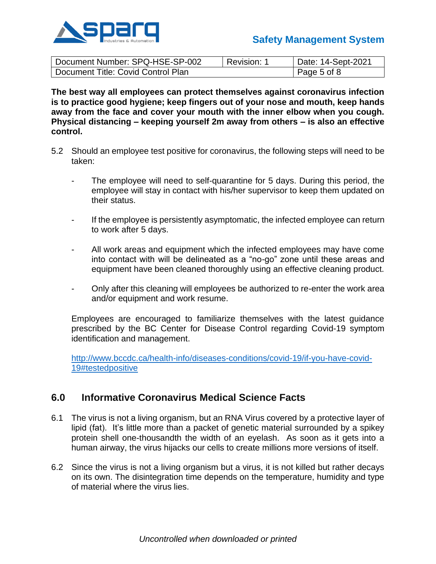

| Document Number: SPQ-HSE-SP-002    | Revision: | Date: 14-Sept-2021 |
|------------------------------------|-----------|--------------------|
| Document Title: Covid Control Plan |           | Page 5 of 8        |

**The best way all employees can protect themselves against coronavirus infection is to practice good hygiene; keep fingers out of your nose and mouth, keep hands away from the face and cover your mouth with the inner elbow when you cough. Physical distancing – keeping yourself 2m away from others – is also an effective control.**

- 5.2 Should an employee test positive for coronavirus, the following steps will need to be taken:
	- The employee will need to self-quarantine for 5 days. During this period, the employee will stay in contact with his/her supervisor to keep them updated on their status.
	- If the employee is persistently asymptomatic, the infected employee can return to work after 5 days.
	- All work areas and equipment which the infected employees may have come into contact with will be delineated as a "no-go" zone until these areas and equipment have been cleaned thoroughly using an effective cleaning product.
	- Only after this cleaning will employees be authorized to re-enter the work area and/or equipment and work resume.

Employees are encouraged to familiarize themselves with the latest guidance prescribed by the BC Center for Disease Control regarding Covid-19 symptom identification and management.

[http://www.bccdc.ca/health-info/diseases-conditions/covid-19/if-you-have-covid-](http://www.bccdc.ca/health-info/diseases-conditions/covid-19/if-you-have-covid-19#testedpositive)[19#testedpositive](http://www.bccdc.ca/health-info/diseases-conditions/covid-19/if-you-have-covid-19#testedpositive)

# **6.0 Informative Coronavirus Medical Science Facts**

- 6.1 The virus is not a living organism, but an RNA Virus covered by a protective layer of lipid (fat). It's little more than a packet of genetic material surrounded by a spikey protein shell one-thousandth the width of an eyelash. As soon as it gets into a human airway, the virus hijacks our cells to create millions more versions of itself.
- 6.2 Since the virus is not a living organism but a virus, it is not killed but rather decays on its own. The disintegration time depends on the temperature, humidity and type of material where the virus lies.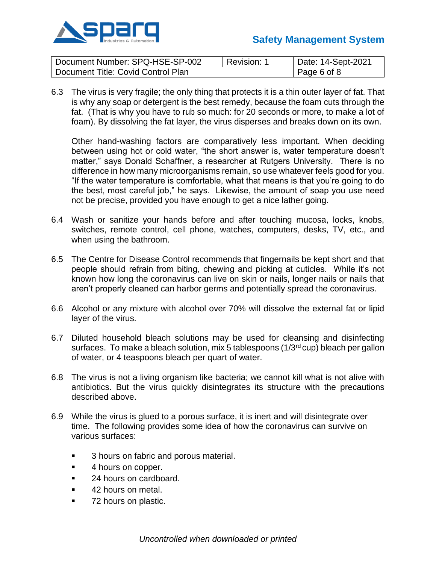

| Document Number: SPQ-HSE-SP-002    | Revision: | Date: 14-Sept-2021 |
|------------------------------------|-----------|--------------------|
| Document Title: Covid Control Plan |           | Page 6 of 8        |

6.3 The virus is very fragile; the only thing that protects it is a thin outer layer of fat. That is why any soap or detergent is the best remedy, because the foam cuts through the fat. (That is why you have to rub so much: for 20 seconds or more, to make a lot of foam). By dissolving the fat layer, the virus disperses and breaks down on its own.

Other hand-washing factors are comparatively less important. When deciding between using hot or cold water, "the short answer is, water temperature doesn't matter," says Donald Schaffner, a researcher at Rutgers University. There is no difference in how many microorganisms remain, so use whatever feels good for you. "If the water temperature is comfortable, what that means is that you're going to do the best, most careful job," he says. Likewise, the amount of soap you use need not be precise, provided you have enough to get a nice lather going.

- 6.4 Wash or sanitize your hands before and after touching mucosa, locks, knobs, switches, remote control, cell phone, watches, computers, desks, TV, etc., and when using the bathroom.
- 6.5 The Centre for Disease Control recommends that fingernails be kept short and that people should refrain from biting, chewing and picking at cuticles. While it's not known how long the coronavirus can live on skin or nails, longer nails or nails that aren't properly cleaned can harbor germs and potentially spread the coronavirus.
- 6.6 Alcohol or any mixture with alcohol over 70% will dissolve the external fat or lipid layer of the virus.
- 6.7 Diluted household bleach solutions may be used for cleansing and disinfecting surfaces. To make a bleach solution, mix 5 tablespoons  $(1/3<sup>rd</sup> cup)$  bleach per gallon of water, or 4 teaspoons bleach per quart of water.
- 6.8 The virus is not a living organism like bacteria; we cannot kill what is not alive with antibiotics. But the virus quickly disintegrates its structure with the precautions described above.
- 6.9 While the virus is glued to a porous surface, it is inert and will disintegrate over time. The following provides some idea of how the coronavirus can survive on various surfaces:
	- 3 hours on fabric and porous material.
	- 4 hours on copper.
	- 24 hours on cardboard.
	- 42 hours on metal.
	- 72 hours on plastic.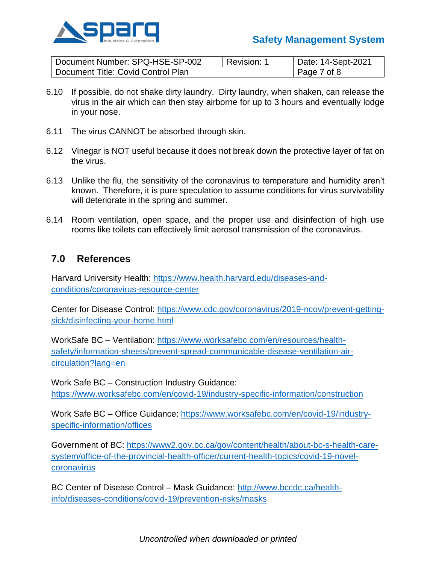

# **Safety Management System**

| Document Number: SPQ-HSE-SP-002    | Revision:   | Date: 14-Sept-2021 |
|------------------------------------|-------------|--------------------|
| Document Title: Covid Control Plan | Page 7 of 8 |                    |

- 6.10 If possible, do not shake dirty laundry. Dirty laundry, when shaken, can release the virus in the air which can then stay airborne for up to 3 hours and eventually lodge in your nose.
- 6.11 The virus CANNOT be absorbed through skin.
- 6.12 Vinegar is NOT useful because it does not break down the protective layer of fat on the virus.
- 6.13 Unlike the flu, the sensitivity of the coronavirus to temperature and humidity aren't known. Therefore, it is pure speculation to assume conditions for virus survivability will deteriorate in the spring and summer.
- 6.14 Room ventilation, open space, and the proper use and disinfection of high use rooms like toilets can effectively limit aerosol transmission of the coronavirus.

### **7.0 References**

Harvard University Health: [https://www.health.harvard.edu/diseases-and](https://www.health.harvard.edu/diseases-and-conditions/coronavirus-resource-center)[conditions/coronavirus-resource-center](https://www.health.harvard.edu/diseases-and-conditions/coronavirus-resource-center)

Center for Disease Control: [https://www.cdc.gov/coronavirus/2019-ncov/prevent-getting](https://www.cdc.gov/coronavirus/2019-ncov/prevent-getting-sick/disinfecting-your-home.html)[sick/disinfecting-your-home.html](https://www.cdc.gov/coronavirus/2019-ncov/prevent-getting-sick/disinfecting-your-home.html)

WorkSafe BC – Ventilation: [https://www.worksafebc.com/en/resources/health](https://www.worksafebc.com/en/resources/health-safety/information-sheets/prevent-spread-communicable-disease-ventilation-air-circulation?lang=en)[safety/information-sheets/prevent-spread-communicable-disease-ventilation-air](https://www.worksafebc.com/en/resources/health-safety/information-sheets/prevent-spread-communicable-disease-ventilation-air-circulation?lang=en)[circulation?lang=en](https://www.worksafebc.com/en/resources/health-safety/information-sheets/prevent-spread-communicable-disease-ventilation-air-circulation?lang=en)

Work Safe BC – Construction Industry Guidance: <https://www.worksafebc.com/en/covid-19/industry-specific-information/construction>

Work Safe BC – Office Guidance: [https://www.worksafebc.com/en/covid-19/industry](https://www.worksafebc.com/en/covid-19/industry-specific-information/offices)[specific-information/offices](https://www.worksafebc.com/en/covid-19/industry-specific-information/offices)

Government of BC: [https://www2.gov.bc.ca/gov/content/health/about-bc-s-health-care](https://www2.gov.bc.ca/gov/content/health/about-bc-s-health-care-system/office-of-the-provincial-health-officer/current-health-topics/covid-19-novel-coronavirus)[system/office-of-the-provincial-health-officer/current-health-topics/covid-19-novel](https://www2.gov.bc.ca/gov/content/health/about-bc-s-health-care-system/office-of-the-provincial-health-officer/current-health-topics/covid-19-novel-coronavirus)[coronavirus](https://www2.gov.bc.ca/gov/content/health/about-bc-s-health-care-system/office-of-the-provincial-health-officer/current-health-topics/covid-19-novel-coronavirus)

BC Center of Disease Control – Mask Guidance: [http://www.bccdc.ca/health](http://www.bccdc.ca/health-info/diseases-conditions/covid-19/prevention-risks/masks)[info/diseases-conditions/covid-19/prevention-risks/masks](http://www.bccdc.ca/health-info/diseases-conditions/covid-19/prevention-risks/masks)